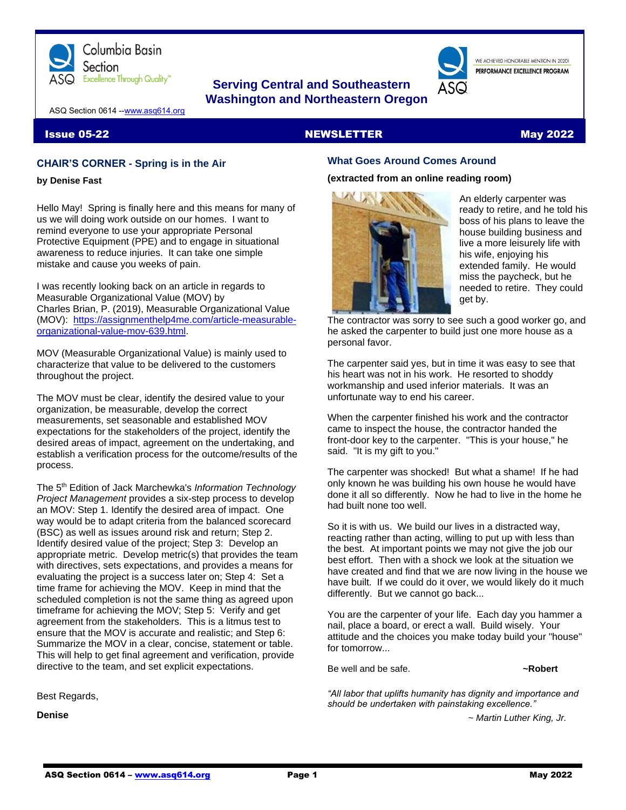

# **Serving Central and Southeastern Washington and Northeastern Oregon**

WE ACHIEVED HONORABLE MENTION IN 2020L PERFORMANCE EXCELLENCE PROGRAM

ASQ Section 0614 -[-www.asq614.org](http://www.asq614.org/)

# Issue 05-22 NEWSLETTER And the May 2022 NEWSLETTER And the May 2022 NewsLETTER And the May 2022

### **CHAIR'S CORNER - Spring is in the Air**

**by Denise Fast**

Hello May! Spring is finally here and this means for many of us we will doing work outside on our homes. I want to remind everyone to use your appropriate Personal Protective Equipment (PPE) and to engage in situational awareness to reduce injuries. It can take one simple mistake and cause you weeks of pain.

I was recently looking back on an article in regards to Measurable Organizational Value (MOV) by Charles Brian, P. (2019), Measurable Organizational Value (MOV): [https://assignmenthelp4me.com/article-measurable](https://assignmenthelp4me.com/article-measurable-organizational-value-mov-639.html)[organizational-value-mov-639.html.](https://assignmenthelp4me.com/article-measurable-organizational-value-mov-639.html)

MOV (Measurable Organizational Value) is mainly used to characterize that value to be delivered to the customers throughout the project.

The MOV must be clear, identify the desired value to your organization, be measurable, develop the correct measurements, set seasonable and established MOV expectations for the stakeholders of the project, identify the desired areas of impact, agreement on the undertaking, and establish a verification process for the outcome/results of the process.

The 5th Edition of Jack Marchewka's *Information Technology Project Management* provides a six-step process to develop an MOV: Step 1. Identify the desired area of impact. One way would be to adapt criteria from the balanced scorecard (BSC) as well as issues around risk and return; Step 2. Identify desired value of the project; Step 3: Develop an appropriate metric. Develop metric(s) that provides the team with directives, sets expectations, and provides a means for evaluating the project is a success later on; Step 4: Set a time frame for achieving the MOV. Keep in mind that the scheduled completion is not the same thing as agreed upon timeframe for achieving the MOV; Step 5: Verify and get agreement from the stakeholders. This is a litmus test to ensure that the MOV is accurate and realistic; and Step 6: Summarize the MOV in a clear, concise, statement or table. This will help to get final agreement and verification, provide directive to the team, and set explicit expectations.

Best Regards,

**Denise**

# **What Goes Around Comes Around**

#### **(extracted from an online reading room)**



An elderly carpenter was ready to retire, and he told his boss of his plans to leave the house building business and live a more leisurely life with his wife, enjoying his extended family. He would miss the paycheck, but he needed to retire. They could get by.

The contractor was sorry to see such a good worker go, and he asked the carpenter to build just one more house as a personal favor.

The carpenter said yes, but in time it was easy to see that his heart was not in his work. He resorted to shoddy workmanship and used inferior materials. It was an unfortunate way to end his career.

When the carpenter finished his work and the contractor came to inspect the house, the contractor handed the front-door key to the carpenter. "This is your house," he said. "It is my gift to you."

The carpenter was shocked! But what a shame! If he had only known he was building his own house he would have done it all so differently. Now he had to live in the home he had built none too well.

So it is with us. We build our lives in a distracted way, reacting rather than acting, willing to put up with less than the best. At important points we may not give the job our best effort. Then with a shock we look at the situation we have created and find that we are now living in the house we have built. If we could do it over, we would likely do it much differently. But we cannot go back...

You are the carpenter of your life. Each day you hammer a nail, place a board, or erect a wall. Build wisely. Your attitude and the choices you make today build your "house" for tomorrow...

Be well and be safe. *~Robert* 

*"All labor that uplifts humanity has dignity and importance and should be undertaken with painstaking excellence."* 

 *~ Martin Luther King, Jr.*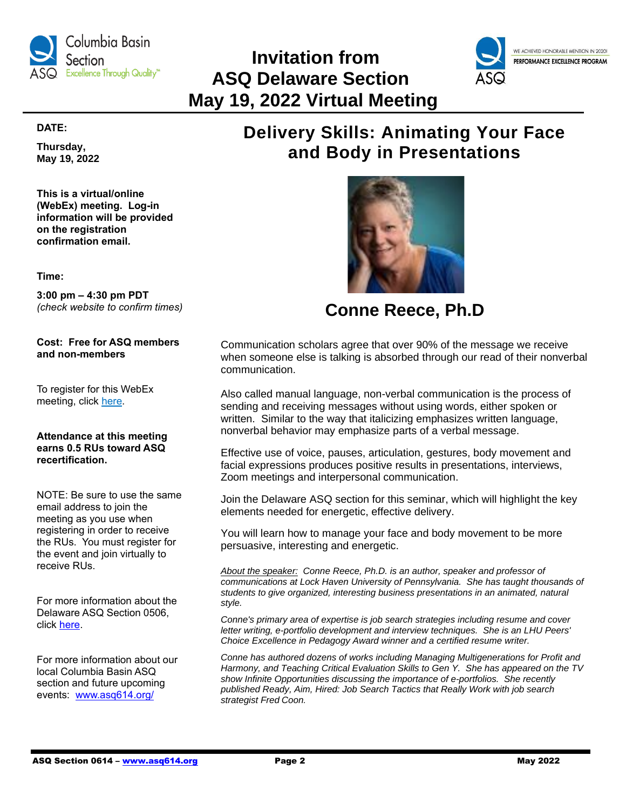

# **Invitation from ASQ Delaware Section May 19, 2022 Virtual Meeting**



# **DATE:**

**Thursday, May 19, 2022**

**This is a virtual/online (WebEx) meeting. Log-in information will be provided on the registration confirmation email.**

**Time:**

**3:00 pm – 4:30 pm PDT** *(check website to confirm times)*

**Cost: Free for ASQ members and non-members**

To register for this WebEx meeting, click [here.](https://my.asq.org/communities/events/item/278/60/3943)

# **Attendance at this meeting earns 0.5 RUs toward ASQ recertification.**

NOTE: Be sure to use the same email address to join the meeting as you use when registering in order to receive the RUs. You must register for the event and join virtually to receive RUs.

For more information about the Delaware ASQ Section 0506, click [here.](https://my.asq.org/communities/home/278)

For more information about our local Columbia Basin ASQ section and future upcoming events: [www.asq614.org/](http://www.asq614.org/)

# **Delivery Skills: Animating Your Face and Body in Presentations**



# **Conne Reece, Ph.D**

Communication scholars agree that over 90% of the message we receive when someone else is talking is absorbed through our read of their nonverbal communication.

Also called manual language, non-verbal communication is the process of sending and receiving messages without using words, either spoken or written. Similar to the way that italicizing emphasizes written language, nonverbal behavior may emphasize parts of a verbal message.

Effective use of voice, pauses, articulation, gestures, body movement and facial expressions produces positive results in presentations, interviews, Zoom meetings and interpersonal communication.

Join the Delaware ASQ section for this seminar, which will highlight the key elements needed for energetic, effective delivery.

You will learn how to manage your face and body movement to be more persuasive, interesting and energetic.

*About the speaker: Conne Reece, Ph.D. is an author, speaker and professor of communications at Lock Haven University of Pennsylvania. She has taught thousands of students to give organized, interesting business presentations in an animated, natural style.* 

*Conne's primary area of expertise is job search strategies including resume and cover letter writing, e-portfolio development and interview techniques. She is an LHU Peers' Choice Excellence in Pedagogy Award winner and a certified resume writer.*

*Conne has authored dozens of works including Managing Multigenerations for Profit and Harmony, and Teaching Critical Evaluation Skills to Gen Y. She has appeared on the TV show Infinite Opportunities discussing the importance of e-portfolios. She recently published Ready, Aim, Hired: Job Search Tactics that Really Work with job search strategist Fred Coon.*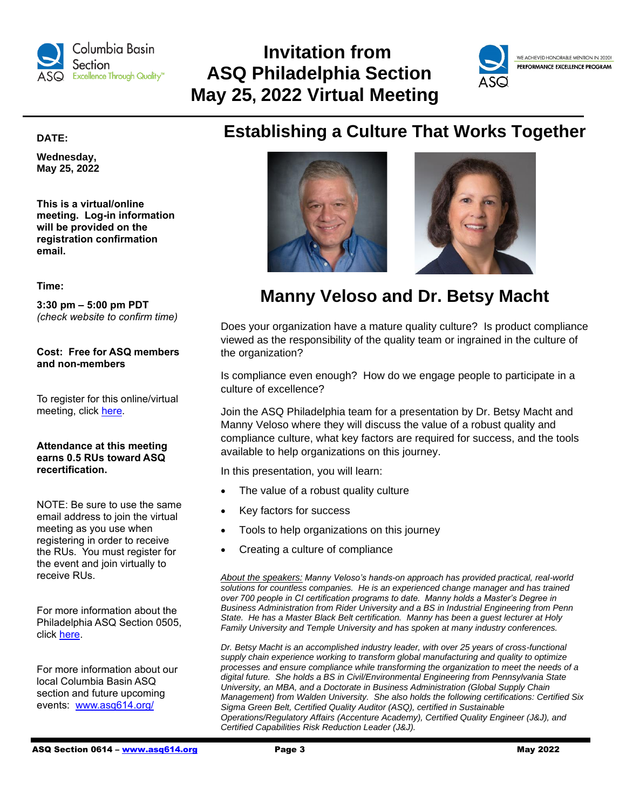

# **Invitation from ASQ Philadelphia Section May 25, 2022 Virtual Meeting**



# **DATE:**

**Wednesday, May 25, 2022**

**This is a virtual/online meeting. Log-in information will be provided on the registration confirmation email.**

**Time:**

**3:30 pm – 5:00 pm PDT** *(check website to confirm time)*

**Cost: Free for ASQ members and non-members**

To register for this online/virtual meeting, click [here.](https://www.eventbrite.com/e/establishing-a-culture-that-works-together-tickets-269603169337)

# **Attendance at this meeting earns 0.5 RUs toward ASQ recertification.**

NOTE: Be sure to use the same email address to join the virtual meeting as you use when registering in order to receive the RUs. You must register for the event and join virtually to receive RUs.

For more information about the Philadelphia ASQ Section 0505, click [here.](https://my.asq.org/communities/home/204)

For more information about our local Columbia Basin ASQ section and future upcoming events: [www.asq614.org/](http://www.asq614.org/)

# **Establishing a Culture That Works Together**





# **Manny Veloso and Dr. Betsy Macht**

Does your organization have a mature quality culture? Is product compliance viewed as the responsibility of the quality team or ingrained in the culture of the organization?

Is compliance even enough? How do we engage people to participate in a culture of excellence?

Join the ASQ Philadelphia team for a presentation by Dr. Betsy Macht and Manny Veloso where they will discuss the value of a robust quality and compliance culture, what key factors are required for success, and the tools available to help organizations on this journey.

In this presentation, you will learn:

- The value of a robust quality culture
- Key factors for success
- Tools to help organizations on this journey
- Creating a culture of compliance

*About the speakers: Manny Veloso's hands-on approach has provided practical, real-world solutions for countless companies. He is an experienced change manager and has trained over 700 people in CI certification programs to date. Manny holds a Master's Degree in Business Administration from Rider University and a BS in Industrial Engineering from Penn State. He has a Master Black Belt certification. Manny has been a guest lecturer at Holy Family University and Temple University and has spoken at many industry conferences.*

*Dr. Betsy Macht is an accomplished industry leader, with over 25 years of cross-functional supply chain experience working to transform global manufacturing and quality to optimize processes and ensure compliance while transforming the organization to meet the needs of a digital future. She holds a BS in Civil/Environmental Engineering from Pennsylvania State University, an MBA, and a Doctorate in Business Administration (Global Supply Chain Management) from Walden University. She also holds the following certifications: Certified Six Sigma Green Belt, Certified Quality Auditor (ASQ), certified in Sustainable Operations/Regulatory Affairs (Accenture Academy), Certified Quality Engineer (J&J), and Certified Capabilities Risk Reduction Leader (J&J).*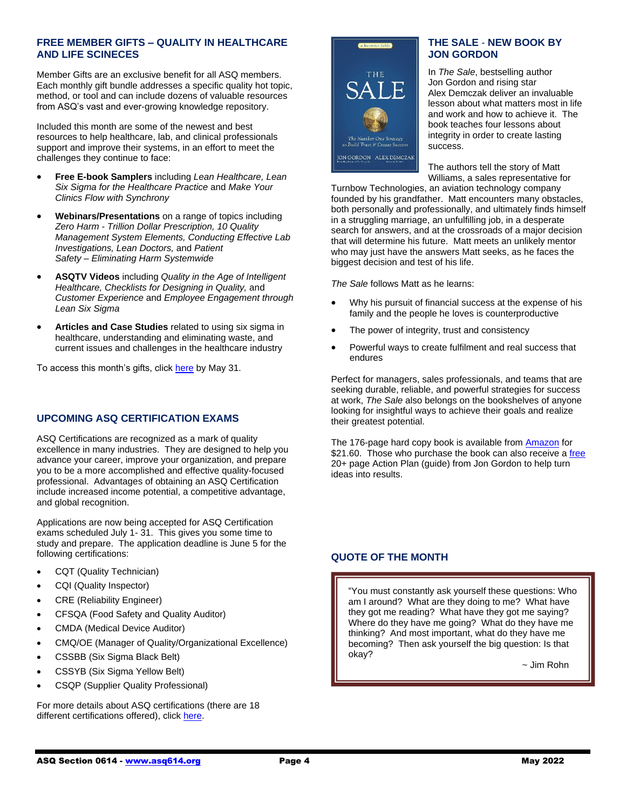# **FREE MEMBER GIFTS – QUALITY IN HEALTHCARE AND LIFE SCINECES**

Member Gifts are an exclusive benefit for all ASQ members. Each monthly gift bundle addresses a specific quality hot topic, method, or tool and can include dozens of valuable resources from ASQ's vast and ever-growing knowledge repository.

Included this month are some of the newest and best resources to help healthcare, lab, and clinical professionals support and improve their systems, in an effort to meet the challenges they continue to face:

- **Free E-book Samplers** including *Lean Healthcare, Lean Six Sigma for the Healthcare Practice* and *Make Your Clinics Flow with Synchrony*
- **Webinars/Presentations** on a range of topics including *Zero Harm - Trillion Dollar Prescription, 10 Quality Management System Elements, Conducting Effective Lab Investigations, Lean Doctors,* and *Patient Safety – Eliminating Harm Systemwide*
- **ASQTV Videos** including *Quality in the Age of Intelligent Healthcare, Checklists for Designing in Quality,* and *Customer Experience* and *Employee Engagement through Lean Six Sigma*
- **Articles and Case Studies** related to using six sigma in healthcare, understanding and eliminating waste, and current issues and challenges in the healthcare industry

To access this month's gifts, clic[k here](https://asq.org/membership/member-gift/may-2022) by May 31.

# **UPCOMING ASQ CERTIFICATION EXAMS**

ASQ Certifications are recognized as a mark of quality excellence in many industries. They are designed to help you advance your career, improve your organization, and prepare you to be a more accomplished and effective quality-focused professional. Advantages of obtaining an ASQ Certification include increased income potential, a competitive advantage, and global recognition.

Applications are now being accepted for ASQ Certification exams scheduled July 1- 31. This gives you some time to study and prepare. The application deadline is June 5 for the following certifications:

- CQT (Quality Technician)
- CQI (Quality Inspector)
- CRE (Reliability Engineer)
- CFSQA (Food Safety and Quality Auditor)
- CMDA (Medical Device Auditor)
- CMQ/OE (Manager of Quality/Organizational Excellence)
- CSSBB (Six Sigma Black Belt)
- CSSYB (Six Sigma Yellow Belt)
- CSQP (Supplier Quality Professional)

For more details about ASQ certifications (there are 18 different certifications offered), click [here.](https://asq.org/cert)



# **THE SALE** - **NEW BOOK BY JON GORDON**

In *The Sale*, bestselling author Jon Gordon and rising star Alex Demczak deliver an invaluable lesson about what matters most in life and work and how to achieve it. The book teaches four lessons about integrity in order to create lasting success.

The authors tell the story of Matt Williams, a sales representative for

Turnbow Technologies, an aviation technology company founded by his grandfather. Matt encounters many obstacles, both personally and professionally, and ultimately finds himself in a struggling marriage, an unfulfilling job, in a desperate search for answers, and at the crossroads of a major decision that will determine his future. Matt meets an unlikely mentor who may just have the answers Matt seeks, as he faces the biggest decision and test of his life.

*The Sale* follows Matt as he learns:

- Why his pursuit of financial success at the expense of his family and the people he loves is counterproductive
- The power of integrity, trust and consistency
- Powerful ways to create fulfilment and real success that endures

Perfect for managers, sales professionals, and teams that are seeking durable, reliable, and powerful strategies for success at work, *The Sale* also belongs on the bookshelves of anyone looking for insightful ways to achieve their goals and realize their greatest potential.

The 176-page hard copy book is available from [Amazon](https://www.amazon.com/Sale-Number-Strategy-Create-Success/dp/1119762693?crid=2XVUJ83KO4YIV&keywords=the+sale+jon+gordon&qid=1647920723&sprefix=the+sale+jon+gord,aps,360&sr=8-1&linkCode=sl1&tag=hlg2-20&linkId=501f0eac49014859af3ade5706dcce98&language=en_US&ref_=as_li_ss_tl) for \$21.60. Those who purchase the book can also receive a [free](https://thesalebook.com/) 20+ page Action Plan (guide) from Jon Gordon to help turn ideas into results.

# **QUOTE OF THE MONTH**

."

"You must constantly ask yourself these questions: Who am I around? What are they doing to me? What have they got me reading? What have they got me saying? Where do they have me going? What do they have me thinking? And most important, what do they have me becoming? Then ask yourself the big question: Is that okay?

~ Jim Rohn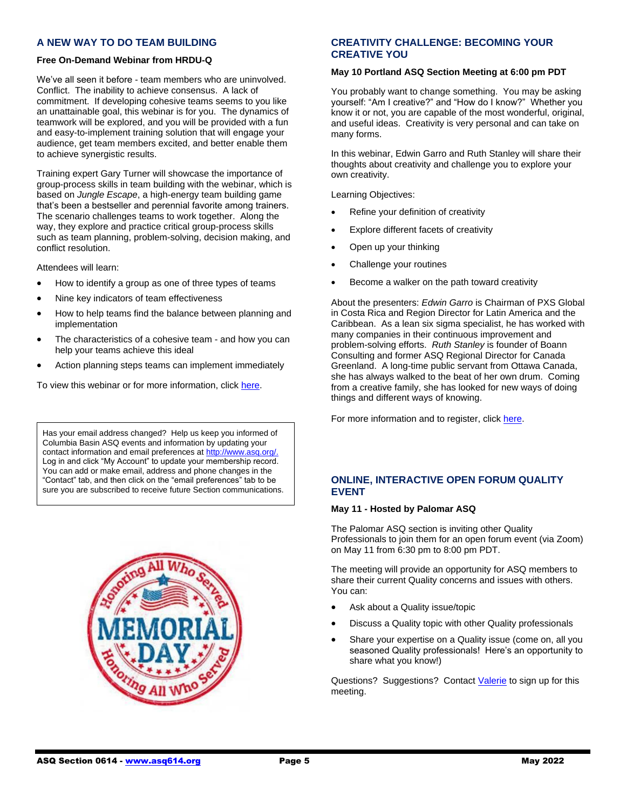# **A NEW WAY TO DO TEAM BUILDING**

#### **Free On-Demand Webinar from HRDU-Q**

We've all seen it before - team members who are uninvolved. Conflict. The inability to achieve consensus. A lack of commitment. If developing cohesive teams seems to you like an unattainable goal, this webinar is for you. The dynamics of teamwork will be explored, and you will be provided with a fun and easy-to-implement training solution that will engage your audience, get team members excited, and better enable them to achieve synergistic results.

Training expert Gary Turner will showcase the importance of group-process skills in team building with the webinar, which is based on *Jungle Escape*, a high-energy team building game that's been a bestseller and perennial favorite among trainers. The scenario challenges teams to work together. Along the way, they explore and practice critical group-process skills such as team planning, problem-solving, decision making, and conflict resolution.

Attendees will learn:

- How to identify a group as one of three types of teams
- Nine key indicators of team effectiveness
- How to help teams find the balance between planning and implementation
- The characteristics of a cohesive team and how you can help your teams achieve this ideal
- Action planning steps teams can implement immediately

To view this webinar or for more information, click [here.](https://hrdqu.com/recorded-webinar-a-new-way-to-do-team-building/)

Has your email address changed? Help us keep you informed of Columbia Basin ASQ events and information by updating your contact information and email preferences a[t http://www.asq.org/.](http://www.asq.org/)  Log in and click "My Account" to update your membership record. You can add or make email, address and phone changes in the "Contact" tab, and then click on the "email preferences" tab to be sure you are subscribed to receive future Section communications.



### **CREATIVITY CHALLENGE: BECOMING YOUR CREATIVE YOU**

#### **May 10 Portland ASQ Section Meeting at 6:00 pm PDT**

You probably want to change something. You may be asking yourself: "Am I creative?" and "How do I know?" Whether you know it or not, you are capable of the most wonderful, original, and useful ideas. Creativity is very personal and can take on many forms.

In this webinar, Edwin Garro and Ruth Stanley will share their thoughts about creativity and challenge you to explore your own creativity.

Learning Objectives:

- Refine your definition of creativity
- Explore different facets of creativity
- Open up your thinking
- Challenge your routines
- Become a walker on the path toward creativity

About the presenters: *Edwin Garro* is Chairman of PXS Global in Costa Rica and Region Director for Latin America and the Caribbean. As a lean six sigma specialist, he has worked with many companies in their continuous improvement and problem-solving efforts. *Ruth Stanley* is founder of Boann Consulting and former ASQ Regional Director for Canada Greenland. A long-time public servant from Ottawa Canada, she has always walked to the beat of her own drum. Coming from a creative family, she has looked for new ways of doing things and different ways of knowing.

For more information and to register, clic[k here.](https://register.gotowebinar.com/register/8154599875686842638)

# **ONLINE, INTERACTIVE OPEN FORUM QUALITY EVENT**

#### **May 11 - Hosted by Palomar ASQ**

The Palomar ASQ section is inviting other Quality Professionals to join them for an open forum event (via Zoom) on May 11 from 6:30 pm to 8:00 pm PDT.

The meeting will provide an opportunity for ASQ members to share their current Quality concerns and issues with others. You can:

- Ask about a Quality issue/topic
- Discuss a Quality topic with other Quality professionals
- Share your expertise on a Quality issue (come on, all you seasoned Quality professionals! Here's an opportunity to share what you know!)

Questions? Suggestions? Contac[t Valerie](mailto:Secretary@asqpalomar.org) to sign up for this meeting.